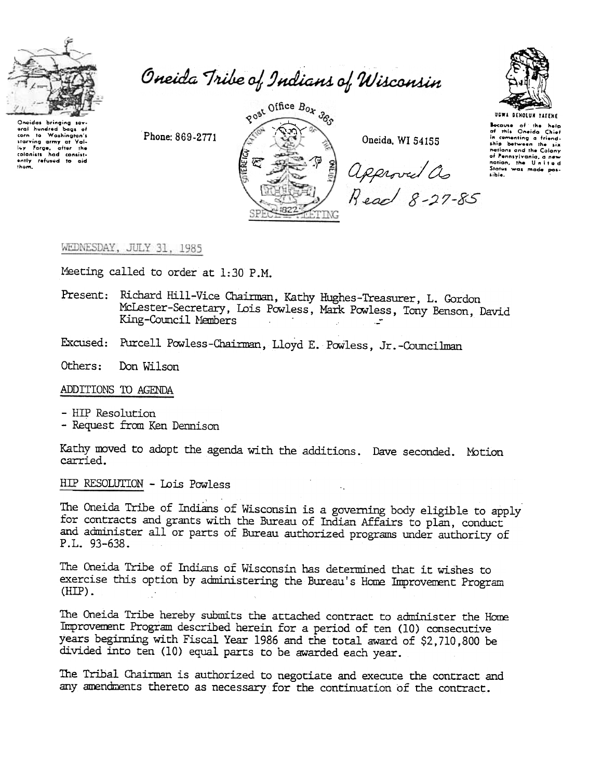

Uneidos bringing sev-<br>eral hundred bags of<br>com to Washington's<br>starving army at Vol-<br>lay Forge, after the<br>colonists had consist-

ently refused to aid

Oneida Tribe of Indians of Wisconsin

Phone: 869-2771



Oneida, WI 54155

approved as<br>Read 8-27-85



**UGWA DENOLUN YATENE** Bocause of the help<br>of this Oneida Chief<br>in comenting a friendship between the six nations and the Calany of Pennsylvania, a new<br>nation, the United<br>Stotes was made possible.

## WEDNESDAY, JULY 31, 1985

Meeting called to order at 1:30 P.M.

- Present: Richard Hill-Vice Chairman, Kathy Hughes-Treasurer, L. Gordon McLester-Secretary, Lois Powless, Mark Powless, Tony Benson, David King-Council Members
- Excused: Purcell Powless-Chairman, Lloyd E. Powless, Jr.-Councilman

Others: Don Wilson

ADDITIONS TO AGENDA

- HIP Resolution

- Request from Ken Dennison

Kathy moved to adopt the agenda with the additions. Dave seconded. Motion carried.

HIP RESOLUTION - Lois Powless

The Oneida Tribe of Indians of Wisconsin is a governing body eligible to apply for contracts and grants with the Bureau of Indian Affairs to plan, conduct and administer all or parts of Bureau authorized programs under authority of P.L. 93-638.

The Oneida Tribe of Indians of Wisconsin has determined that it wishes to exercise this option by administering the Bureau's Home Improvement Program  $(HIP)$ .

The Oneida Tribe hereby submits the attached contract to administer the Home Improvement Program described herein for a period of ten (10) consecutive years beginning with Fiscal Year 1986 and the total award of \$2,710,800 be divided into ten (10) equal parts to be awarded each year.

The Tribal Chairman is authorized to negotiate and execute the contract and any amendments thereto as necessary for the continuation of the contract.